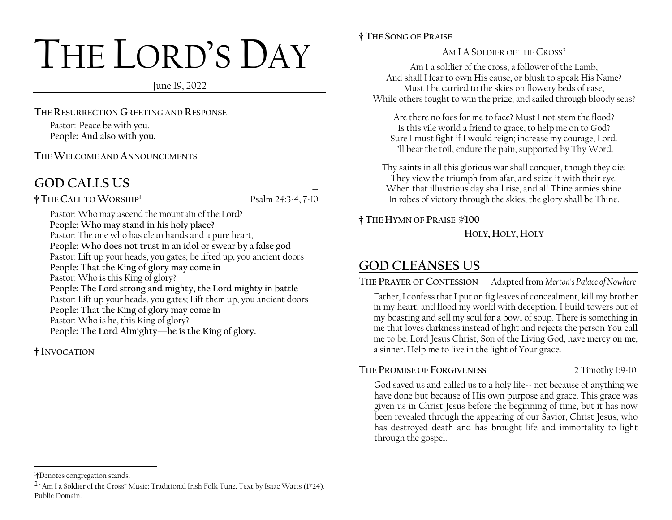# THE LORD'S DAY

June 19, 2022

**THE RESURRECTION GREETING AND RESPONSE**

Pastor: Peace be with you. **People: And also with you.** 

**THE WELCOME AND ANNOUNCEMENTS**

# **GOD CALLS US \_**

**† THE CALL TO WORSHIP<sup>1</sup>**

Psalm 24:3-4, 7-10

Pastor: Who may ascend the mountain of the Lord? **People: Who may stand in his holy place?** Pastor: The one who has clean hands and a pure heart, **People: Who does not trust in an idol or swear by a false god** Pastor: Lift up your heads, you gates; be lifted up, you ancient doors **People: That the King of glory may come in** Pastor: Who is this King of glory? **People: The Lord strong and mighty, the Lord mighty in battle** Pastor: Lift up your heads, you gates; Lift them up, you ancient doors **People: That the King of glory may come in** Pastor: Who is he, this King of glory? **People: The Lord Almighty—he is the King of glory.**

## **† INVOCATION**

#### **† THE SONG OF PRAISE**

AM I A SOLDIER OF THE CROSS<sup>2</sup>

Am I a soldier of the cross, a follower of the Lamb, And shall I fear to own His cause, or blush to speak His Name? Must I be carried to the skies on flowery beds of ease, While others fought to win the prize, and sailed through bloody seas?

Are there no foes for me to face? Must I not stem the flood? Is this vile world a friend to grace, to help me on to God? Sure I must fight if I would reign; increase my courage, Lord. I'll bear the toil, endure the pain, supported by Thy Word.

Thy saints in all this glorious war shall conquer, though they die; They view the triumph from afar, and seize it with their eye. When that illustrious day shall rise, and all Thine armies shine In robes of victory through the skies, the glory shall be Thine.

**† THE HYMN OF PRAISE #100**

**HOLY, HOLY, HOLY**

# **GOD CLEANSES US \_\_\_\_\_\_\_\_\_\_\_\_\_\_\_\_\_\_\_\_\_\_\_**

**THE PRAYER OF CONFESSION** Adapted from *Merton's Palace of Nowhere*

Father, I confess that I put on fig leaves of concealment, kill my brother in my heart, and flood my world with deception. I build towers out of my boasting and sell my soul for a bowl of soup. There is something in me that loves darkness instead of light and rejects the person You call me to be. Lord Jesus Christ, Son of the Living God, have mercy on me, a sinner. Help me to live in the light of Your grace.

**THE PROMISE OF FORGIVENESS** 2 Timothy 1:9-10

God saved us and called us to a holy life-- not because of anything we have done but because of His own purpose and grace. This grace was given us in Christ Jesus before the beginning of time, but it has now been revealed through the appearing of our Savior, Christ Jesus, who has destroyed death and has brought life and immortality to light through the gospel.

<sup>1</sup>**†**Denotes congregation stands.

 $2$  "Am I a Soldier of the Cross" Music: Traditional Irish Folk Tune. Text by Isaac Watts (1724). Public Domain.